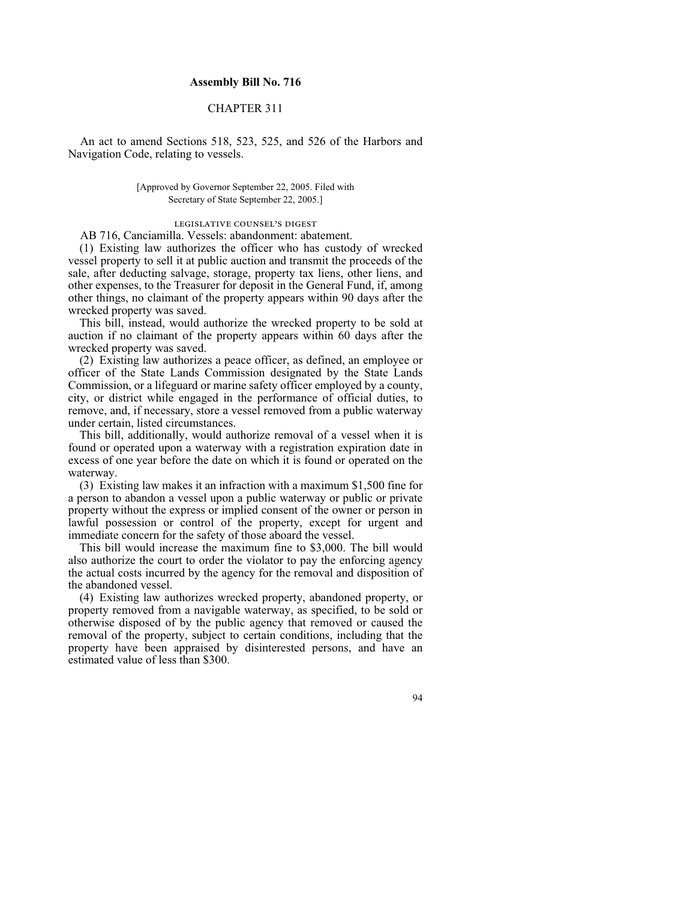## **Assembly Bill No. 716**

## CHAPTER 311

An act to amend Sections 518, 523, 525, and 526 of the Harbors and Navigation Code, relating to vessels.

> [Approved by Governor September 22, 2005. Filed with Secretary of State September 22, 2005.]

> > legislative counsel's digest

AB 716, Canciamilla. Vessels: abandonment: abatement.

(1) Existing law authorizes the officer who has custody of wrecked vessel property to sell it at public auction and transmit the proceeds of the sale, after deducting salvage, storage, property tax liens, other liens, and other expenses, to the Treasurer for deposit in the General Fund, if, among other things, no claimant of the property appears within 90 days after the wrecked property was saved.

This bill, instead, would authorize the wrecked property to be sold at auction if no claimant of the property appears within 60 days after the wrecked property was saved.

(2) Existing law authorizes a peace officer, as defined, an employee or officer of the State Lands Commission designated by the State Lands Commission, or a lifeguard or marine safety officer employed by a county, city, or district while engaged in the performance of official duties, to remove, and, if necessary, store a vessel removed from a public waterway under certain, listed circumstances.

This bill, additionally, would authorize removal of a vessel when it is found or operated upon a waterway with a registration expiration date in excess of one year before the date on which it is found or operated on the waterway.

(3) Existing law makes it an infraction with a maximum \$1,500 fine for a person to abandon a vessel upon a public waterway or public or private property without the express or implied consent of the owner or person in lawful possession or control of the property, except for urgent and immediate concern for the safety of those aboard the vessel.

This bill would increase the maximum fine to \$3,000. The bill would also authorize the court to order the violator to pay the enforcing agency the actual costs incurred by the agency for the removal and disposition of the abandoned vessel.

(4) Existing law authorizes wrecked property, abandoned property, or property removed from a navigable waterway, as specified, to be sold or otherwise disposed of by the public agency that removed or caused the removal of the property, subject to certain conditions, including that the property have been appraised by disinterested persons, and have an estimated value of less than \$300.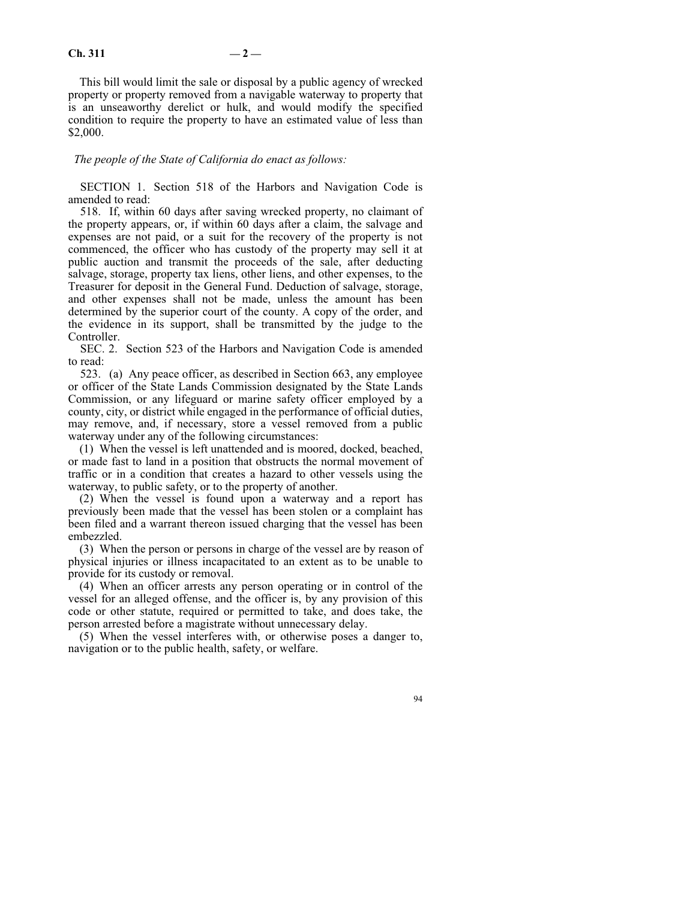This bill would limit the sale or disposal by a public agency of wrecked property or property removed from a navigable waterway to property that is an unseaworthy derelict or hulk, and would modify the specified condition to require the property to have an estimated value of less than \$2,000.

*The people of the State of California do enact as follows:*

SECTION 1. Section 518 of the Harbors and Navigation Code is amended to read:

518. If, within 60 days after saving wrecked property, no claimant of the property appears, or, if within 60 days after a claim, the salvage and expenses are not paid, or a suit for the recovery of the property is not commenced, the officer who has custody of the property may sell it at public auction and transmit the proceeds of the sale, after deducting salvage, storage, property tax liens, other liens, and other expenses, to the Treasurer for deposit in the General Fund. Deduction of salvage, storage, and other expenses shall not be made, unless the amount has been determined by the superior court of the county. A copy of the order, and the evidence in its support, shall be transmitted by the judge to the Controller.

SEC. 2. Section 523 of the Harbors and Navigation Code is amended to read:

523. (a) Any peace officer, as described in Section 663, any employee or officer of the State Lands Commission designated by the State Lands Commission, or any lifeguard or marine safety officer employed by a county, city, or district while engaged in the performance of official duties, may remove, and, if necessary, store a vessel removed from a public waterway under any of the following circumstances:

(1) When the vessel is left unattended and is moored, docked, beached, or made fast to land in a position that obstructs the normal movement of traffic or in a condition that creates a hazard to other vessels using the waterway, to public safety, or to the property of another.

(2) When the vessel is found upon a waterway and a report has previously been made that the vessel has been stolen or a complaint has been filed and a warrant thereon issued charging that the vessel has been embezzled.

(3) When the person or persons in charge of the vessel are by reason of physical injuries or illness incapacitated to an extent as to be unable to provide for its custody or removal.

(4) When an officer arrests any person operating or in control of the vessel for an alleged offense, and the officer is, by any provision of this code or other statute, required or permitted to take, and does take, the person arrested before a magistrate without unnecessary delay.

(5) When the vessel interferes with, or otherwise poses a danger to, navigation or to the public health, safety, or welfare.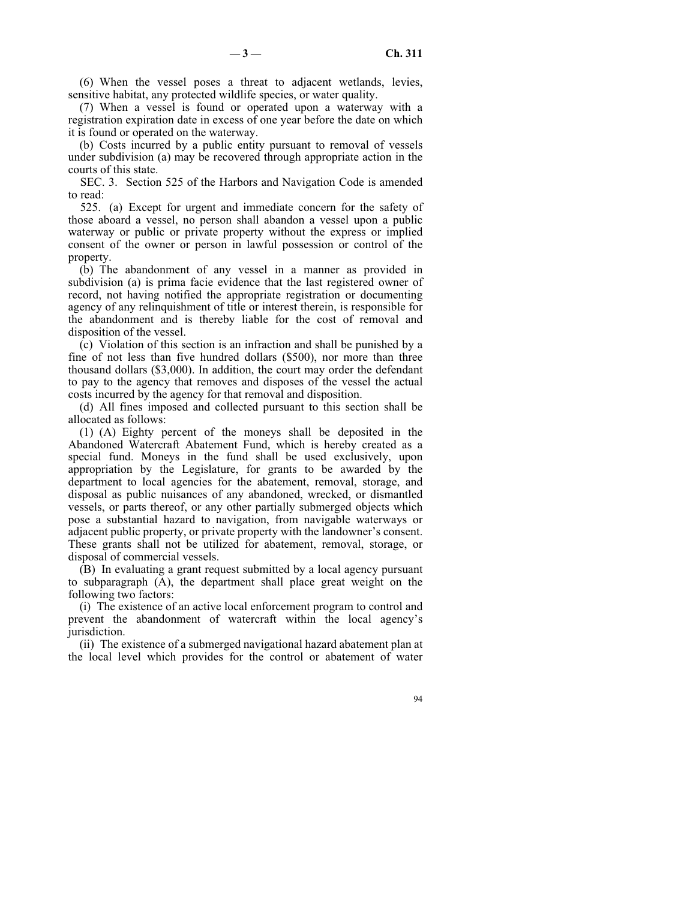(6) When the vessel poses a threat to adjacent wetlands, levies, sensitive habitat, any protected wildlife species, or water quality.

(7) When a vessel is found or operated upon a waterway with a registration expiration date in excess of one year before the date on which it is found or operated on the waterway.

(b) Costs incurred by a public entity pursuant to removal of vessels under subdivision (a) may be recovered through appropriate action in the courts of this state.

SEC. 3. Section 525 of the Harbors and Navigation Code is amended to read:

525. (a) Except for urgent and immediate concern for the safety of those aboard a vessel, no person shall abandon a vessel upon a public waterway or public or private property without the express or implied consent of the owner or person in lawful possession or control of the property.

(b) The abandonment of any vessel in a manner as provided in subdivision (a) is prima facie evidence that the last registered owner of record, not having notified the appropriate registration or documenting agency of any relinquishment of title or interest therein, is responsible for the abandonment and is thereby liable for the cost of removal and disposition of the vessel.

(c) Violation of this section is an infraction and shall be punished by a fine of not less than five hundred dollars (\$500), nor more than three thousand dollars (\$3,000). In addition, the court may order the defendant to pay to the agency that removes and disposes of the vessel the actual costs incurred by the agency for that removal and disposition.

(d) All fines imposed and collected pursuant to this section shall be allocated as follows:

(1) (A) Eighty percent of the moneys shall be deposited in the Abandoned Watercraft Abatement Fund, which is hereby created as a special fund. Moneys in the fund shall be used exclusively, upon appropriation by the Legislature, for grants to be awarded by the department to local agencies for the abatement, removal, storage, and disposal as public nuisances of any abandoned, wrecked, or dismantled vessels, or parts thereof, or any other partially submerged objects which pose a substantial hazard to navigation, from navigable waterways or adjacent public property, or private property with the landowner's consent. These grants shall not be utilized for abatement, removal, storage, or disposal of commercial vessels.

(B) In evaluating a grant request submitted by a local agency pursuant to subparagraph (A), the department shall place great weight on the following two factors:

(i) The existence of an active local enforcement program to control and prevent the abandonment of watercraft within the local agency's jurisdiction.

(ii) The existence of a submerged navigational hazard abatement plan at the local level which provides for the control or abatement of water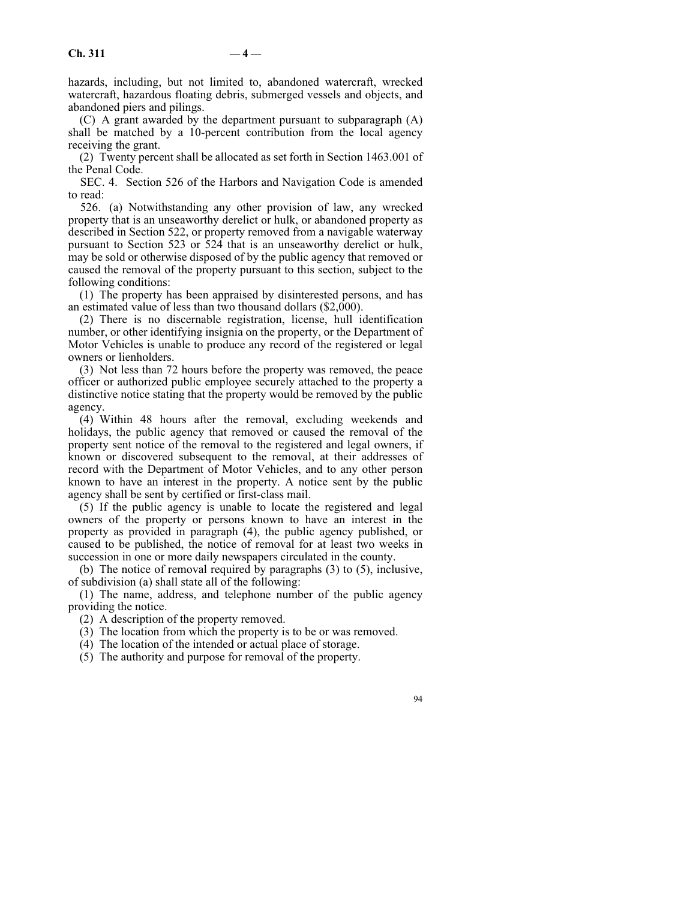hazards, including, but not limited to, abandoned watercraft, wrecked watercraft, hazardous floating debris, submerged vessels and objects, and abandoned piers and pilings.

(C) A grant awarded by the department pursuant to subparagraph (A) shall be matched by a 10-percent contribution from the local agency receiving the grant.

(2) Twenty percent shall be allocated as set forth in Section 1463.001 of the Penal Code.

SEC. 4. Section 526 of the Harbors and Navigation Code is amended to read:

526. (a) Notwithstanding any other provision of law, any wrecked property that is an unseaworthy derelict or hulk, or abandoned property as described in Section 522, or property removed from a navigable waterway pursuant to Section 523 or 524 that is an unseaworthy derelict or hulk, may be sold or otherwise disposed of by the public agency that removed or caused the removal of the property pursuant to this section, subject to the following conditions:

(1) The property has been appraised by disinterested persons, and has an estimated value of less than two thousand dollars (\$2,000).

(2) There is no discernable registration, license, hull identification number, or other identifying insignia on the property, or the Department of Motor Vehicles is unable to produce any record of the registered or legal owners or lienholders.

(3) Not less than 72 hours before the property was removed, the peace officer or authorized public employee securely attached to the property a distinctive notice stating that the property would be removed by the public agency.

(4) Within 48 hours after the removal, excluding weekends and holidays, the public agency that removed or caused the removal of the property sent notice of the removal to the registered and legal owners, if known or discovered subsequent to the removal, at their addresses of record with the Department of Motor Vehicles, and to any other person known to have an interest in the property. A notice sent by the public agency shall be sent by certified or first-class mail.

(5) If the public agency is unable to locate the registered and legal owners of the property or persons known to have an interest in the property as provided in paragraph (4), the public agency published, or caused to be published, the notice of removal for at least two weeks in succession in one or more daily newspapers circulated in the county.

(b) The notice of removal required by paragraphs (3) to (5), inclusive, of subdivision (a) shall state all of the following:

(1) The name, address, and telephone number of the public agency providing the notice.

(2) A description of the property removed.

(3) The location from which the property is to be or was removed.

(4) The location of the intended or actual place of storage.

(5) The authority and purpose for removal of the property.